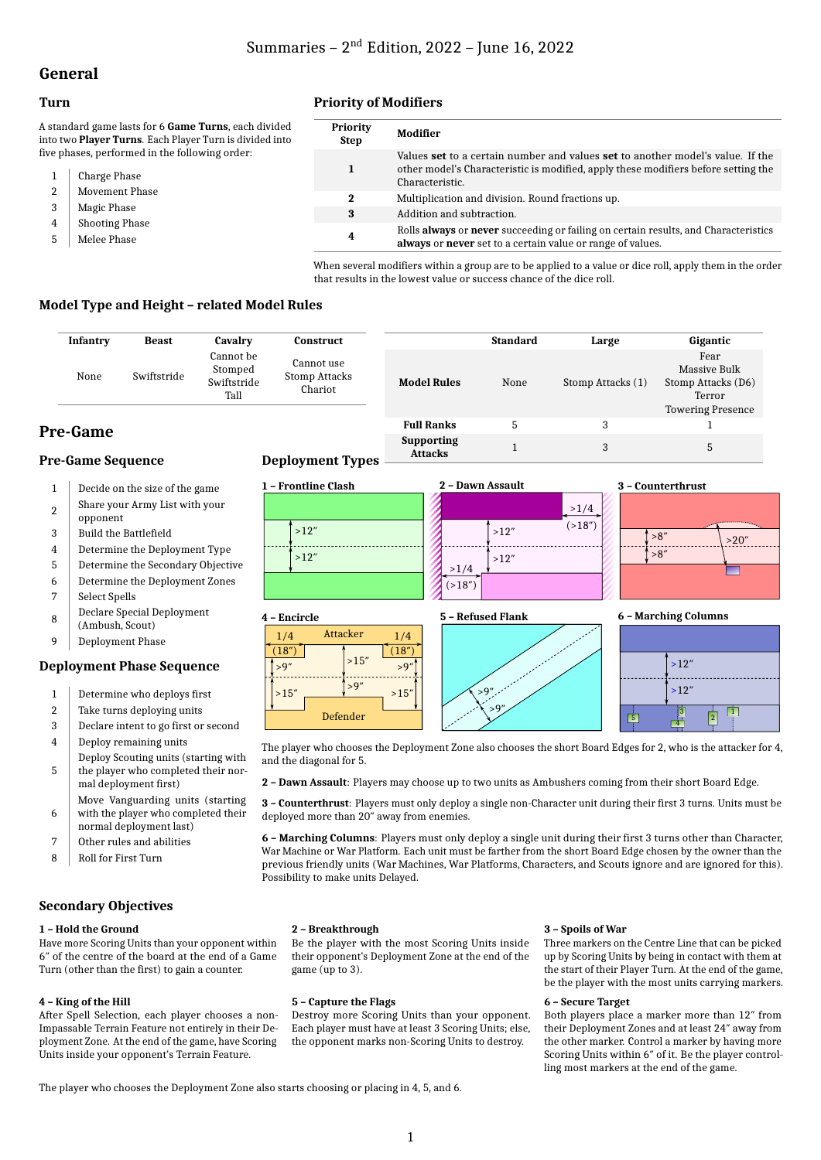# **General**

### **Turn**

A standard game lasts for 6 Game Turns, ea into two **Player Turns**. Each Player Turn is divided five phases, performed in the following orde

- 1 Charge Phase
- 2 Movement Phase
- 3 Magic Phase
- 4 | Shooting Phase
- 5 Melee Phase

### **Priority of Modifiers**

| ch divided.<br>ivided into | <b>Priority</b><br>Step | Modifier                                                                                                                                                                                |
|----------------------------|-------------------------|-----------------------------------------------------------------------------------------------------------------------------------------------------------------------------------------|
| er:                        | 1                       | Values set to a certain number and values set to another model's value. If the<br>other model's Characteristic is modified, apply these modifiers before setting the<br>Characteristic. |
|                            | 2                       | Multiplication and division. Round fractions up.                                                                                                                                        |
|                            | 3                       | Addition and subtraction.                                                                                                                                                               |
|                            | 4                       | Rolls always or never succeeding or failing on certain results, and Characteristics<br>always or never set to a certain value or range of values.                                       |

When several modifiers within a group are to be applied to a value or dice roll, apply them in the order that results in the lowest value or success chance of the dice roll.

**Attacks** 1 3 5

#### **Model Type and Height – related Model Rules**

| Infantry                             | <b>Beast</b> | Cavalry                                     | Construct                              |                                     | <b>Standard</b> | Large             | Gigantic                                                                         |
|--------------------------------------|--------------|---------------------------------------------|----------------------------------------|-------------------------------------|-----------------|-------------------|----------------------------------------------------------------------------------|
| None                                 | Swiftstride  | Cannot be<br>Stomped<br>Swiftstride<br>Tall | Cannot use<br>Stomp Attacks<br>Chariot | <b>Model Rules</b>                  | None            | Stomp Attacks (1) | Fear<br>Massive Bulk<br>Stomp Attacks (D6)<br>Terror<br><b>Towering Presence</b> |
| <b>Pre-Game</b>                      |              |                                             |                                        | <b>Full Ranks</b>                   |                 | 3                 |                                                                                  |
| $\mathbf{r}$<br>$\sim$ $\sim$ $\sim$ |              |                                             | $\sim$ $\sim$<br>$\sim$ m              | <b>Supporting</b><br><b>Attacks</b> |                 | 3                 | 5.                                                                               |

(18″)  $\rightarrow$ 9

1/4

 $\frac{9''}{15''}$  >15′

 $515'$ 

Attacker

Defender

#### **Pre-Game Sequence**

- 1 Decide on the size of the game
- $\overline{2}$ Share your Army List with your opponent
- 3 Build the Battlefield
- 4 Determine the Deployment Type
- 5 Determine the Secondary Objective
- 6 Determine the Deployment Zones 7 Select Spells
- 8 Declare Special Deployment
- (Ambush, Scout) 9 Deployment Phase

# **Deployment Phase Sequence**

- 
- 1 Determine who deploys first
- 2 Take turns deploying units 3 Declare intent to go first or second
- 4 Deploy remaining units
- 5 Deploy Scouting units (starting with the player who completed their nor-
- mal deployment first) 6 Move Vanguarding units (starting with the player who completed their
- normal deployment last)
- 7 Other rules and abilities
- 8 Roll for First Turn

#### **Secondary Objectives**

#### **1 – Hold the Ground**

Have more Scoring Units than your opponent within 6″ of the centre of the board at the end of a Game Turn (other than the first) to gain a counter.

#### **4 – King of the Hill**

After Spell Selection, each player chooses a non-Impassable Terrain Feature not entirely in their Deployment Zone. At the end of the game, have Scoring Units inside your opponent's Terrain Feature.

### **Deployment Types**

**4 – Encircle**

 $(18<sup>′</sup>)$ 1/4

 $\rightarrow$ 9

 $>15'$ 



**5 – Refused Flank**



**6 – Marching Columns**



The player who chooses the Deployment Zone also chooses the short Board Edges for 2, who is the attacker for 4, and the diagonal for 5.

**2 – Dawn Assault**: Players may choose up to two units as Ambushers coming from their short Board Edge.

**3 – Counterthrust**: Players must only deploy a single non-Character unit during their first 3 turns. Units must be deployed more than 20″ away from enemies.

**6 – Marching Columns**: Players must only deploy a single unit during their first 3 turns other than Character, War Machine or War Platform. Each unit must be farther from the short Board Edge chosen by the owner than the previous friendly units (War Machines, War Platforms, Characters, and Scouts ignore and are ignored for this). Possibility to make units Delayed.

#### **2 – Breakthrough**

Be the player with the most Scoring Units inside their opponent's Deployment Zone at the end of the game (up to 3).

#### **5 – Capture the Flags**

Destroy more Scoring Units than your opponent. Each player must have at least 3 Scoring Units; else, the opponent marks non-Scoring Units to destroy.

#### **3 – Spoils of War**

Three markers on the Centre Line that can be picked up by Scoring Units by being in contact with them at the start of their Player Turn. At the end of the game, be the player with the most units carrying markers.

#### **6 – Secure Target**

Both players place a marker more than 12″ from their Deployment Zones and at least 24″ away from the other marker. Control a marker by having more Scoring Units within 6″ of it. Be the player controlling most markers at the end of the game.

The player who chooses the Deployment Zone also starts choosing or placing in 4, 5, and 6.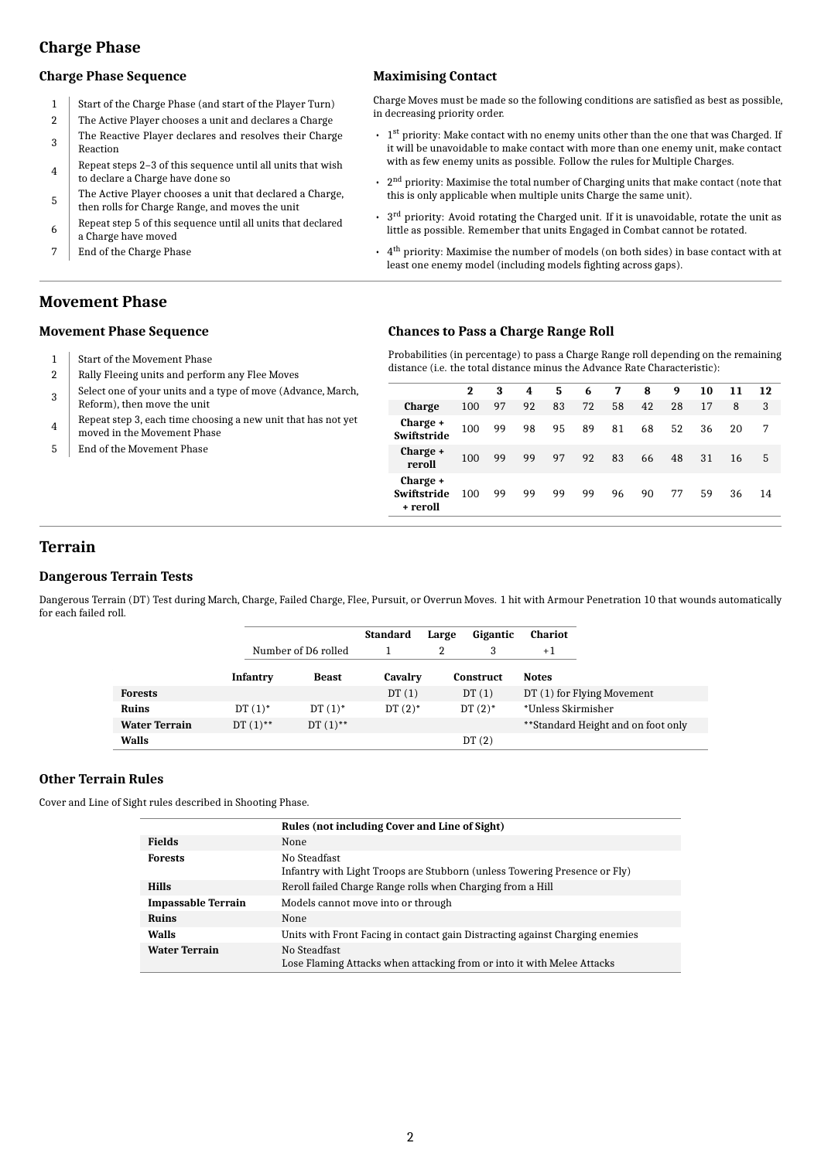# **Charge Phase**

#### **Charge Phase Sequence**

- 1 Start of the Charge Phase (and start of the Player Turn)
- 2 The Active Player chooses a unit and declares a Charge 3 The Reactive Player declares and resolves their Charge Reaction
- 4 Repeat steps 2–3 of this sequence until all units that wish to declare a Charge have done so
- 5 The Active Player chooses a unit that declared a Charge, then rolls for Charge Range, and moves the unit
- 6 Repeat step 5 of this sequence until all units that declared a Charge have moved
- 7 End of the Charge Phase

### **Maximising Contact**

Charge Moves must be made so the following conditions are satisfied as best as possible, in decreasing priority order.

- $\cdot$  1<sup>st</sup> priority: Make contact with no enemy units other than the one that was Charged. If it will be unavoidable to make contact with more than one enemy unit, make contact with as few enemy units as possible. Follow the rules for Multiple Charges.
- $\cdot$  2<sup>nd</sup> priority: Maximise the total number of Charging units that make contact (note that this is only applicable when multiple units Charge the same unit).
- $\cdot$  3<sup>rd</sup> priority: Avoid rotating the Charged unit. If it is unavoidable, rotate the unit as little as possible. Remember that units Engaged in Combat cannot be rotated.
- $\cdot$  4<sup>th</sup> priority: Maximise the number of models (on both sides) in base contact with at least one enemy model (including models fighting across gaps).

### **Movement Phase**

#### **Movement Phase Sequence**

- 1 Start of the Movement Phase
- 2 Rally Fleeing units and perform any Flee Moves
- 3 Select one of your units and a type of move (Advance, March, Reform), then move the unit
- 4 Repeat step 3, each time choosing a new unit that has not yet moved in the Movement Phase
- 5 | End of the Movement Phase

#### **Chances to Pass a Charge Range Roll**

Probabilities (in percentage) to pass a Charge Range roll depending on the remaining distance (i.e. the total distance minus the Advance Rate Characteristic):

|                                     | 2   | 3  | 4  | -5 | 6  | 7  | 8  | 9  | 10 | 11 | 12 |
|-------------------------------------|-----|----|----|----|----|----|----|----|----|----|----|
| <b>Charge</b>                       | 100 | 97 | 92 | 83 | 72 | 58 | 42 | 28 | 17 | 8  | 3  |
| Charge +<br>Swiftstride             | 100 | 99 | 98 | 95 | 89 | 81 | 68 | 52 | 36 | 20 | 7  |
| Charge +<br>reroll                  | 100 | 99 | 99 | 97 | 92 | 83 | 66 | 48 | 31 | 16 | 5  |
| Charge +<br>Swiftstride<br>+ reroll | 100 | 99 | 99 | 99 | 99 | 96 | 90 | 77 | 59 | 36 | 14 |

# **Terrain**

#### **Dangerous Terrain Tests**

Dangerous Terrain (DT) Test during March, Charge, Failed Charge, Flee, Pursuit, or Overrun Moves. 1 hit with Armour Penetration 10 that wounds automatically for each failed roll.

|                      |                 |                     | <b>Standard</b> | Large | Gigantic         | Chariot            |                                    |
|----------------------|-----------------|---------------------|-----------------|-------|------------------|--------------------|------------------------------------|
|                      |                 | Number of D6 rolled |                 |       | 3                | $+1$               |                                    |
|                      | <b>Infantry</b> | <b>Beast</b>        | Cavalry         |       | <b>Construct</b> | <b>Notes</b>       |                                    |
| <b>Forests</b>       |                 |                     | DT(1)           |       | DT(1)            |                    | DT (1) for Flying Movement         |
| Ruins                | $DT(1)$ *       | $DT(1)$ *           | $DT(2)$ *       |       | $DT(2)$ *        | *Unless Skirmisher |                                    |
| <b>Water Terrain</b> | DT $(1)$ **     | DT $(1)$ **         |                 |       |                  |                    | **Standard Height and on foot only |
| Walls                |                 |                     |                 |       | DT(2)            |                    |                                    |

#### **Other Terrain Rules**

Cover and Line of Sight rules described in Shooting Phase.

|                           | Rules (not including Cover and Line of Sight)                                             |
|---------------------------|-------------------------------------------------------------------------------------------|
| <b>Fields</b>             | None                                                                                      |
| <b>Forests</b>            | No Steadfast<br>Infantry with Light Troops are Stubborn (unless Towering Presence or Fly) |
| <b>Hills</b>              | Reroll failed Charge Range rolls when Charging from a Hill                                |
| <b>Impassable Terrain</b> | Models cannot move into or through                                                        |
| <b>Ruins</b>              | None                                                                                      |
| Walls                     | Units with Front Facing in contact gain Distracting against Charging enemies              |
| <b>Water Terrain</b>      | No Steadfast<br>Lose Flaming Attacks when attacking from or into it with Melee Attacks    |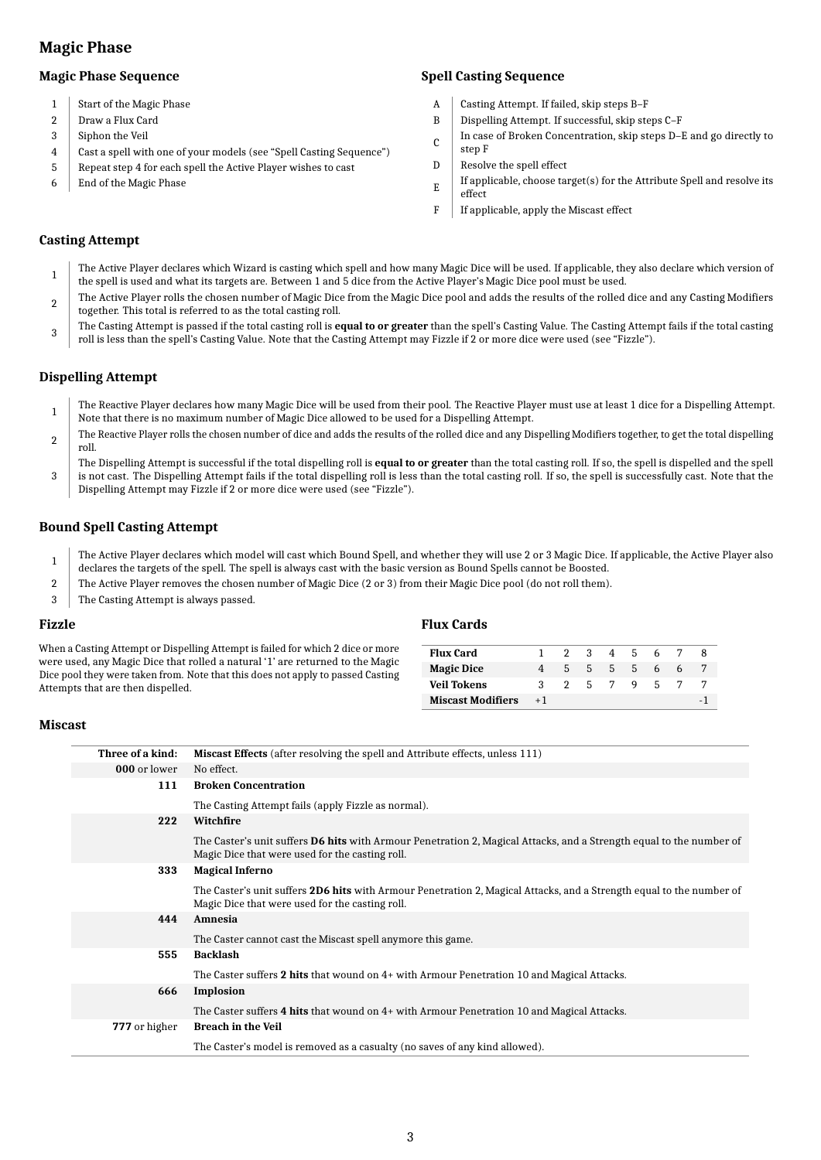# **Magic Phase**

#### **Magic Phase Sequence**

- 1 Start of the Magic Phase
- 2 Draw a Flux Card
- 3 Siphon the Veil
- 4 Cast a spell with one of your models (see "Spell Casting Sequence")
- 5 Repeat step 4 for each spell the Active Player wishes to cast
- 6 End of the Magic Phase

### **Spell Casting Sequence**

- A Casting Attempt. If failed, skip steps B–F
- B Dispelling Attempt. If successful, skip steps C–F
- C In case of Broken Concentration, skip steps D–E and go directly to
- step F
- $D$  Resolve the spell effect
- E If applicable, choose target(s) for the Attribute Spell and resolve its effect
- F If applicable, apply the Miscast effect

#### **Casting Attempt**

- 1 The Active Player declares which Wizard is casting which spell and how many Magic Dice will be used. If applicable, they also declare which version of the spell is used and what its targets are. Between 1 and 5 dice from the Active Player's Magic Dice pool must be used.
- $\mathcal{D}$ The Active Player rolls the chosen number of Magic Dice from the Magic Dice pool and adds the results of the rolled dice and any Casting Modifiers together. This total is referred to as the total casting roll.
- 3 The Casting Attempt is passed if the total casting roll is **equal to or greater** than the spell's Casting Value. The Casting Attempt fails if the total casting roll is less than the spell's Casting Value. Note that the Casting Attempt may Fizzle if 2 or more dice were used (see "Fizzle").

#### **Dispelling Attempt**

- 1 The Reactive Player declares how many Magic Dice will be used from their pool. The Reactive Player must use at least 1 dice for a Dispelling Attempt. Note that there is no maximum number of Magic Dice allowed to be used for a Dispelling Attempt.
- 2 The Reactive Player rolls the chosen number of dice and adds the results of the rolled dice and any Dispelling Modifiers together, to get the total dispelling roll.
- 3 The Dispelling Attempt is successful if the total dispelling roll is **equal to or greater** than the total casting roll. If so, the spell is dispelled and the spell is not cast. The Dispelling Attempt fails if the total dispelling roll is less than the total casting roll. If so, the spell is successfully cast. Note that the Dispelling Attempt may Fizzle if 2 or more dice were used (see "Fizzle").

#### **Bound Spell Casting Attempt**

1 The Active Player declares which model will cast which Bound Spell, and whether they will use 2 or 3 Magic Dice. If applicable, the Active Player also declares the targets of the spell. The spell is always cast with the basic version as Bound Spells cannot be Boosted.

**Flux Cards**

- 2 The Active Player removes the chosen number of Magic Dice (2 or 3) from their Magic Dice pool (do not roll them).
- 3 The Casting Attempt is always passed.

#### **Fizzle**

| When a Casting Attempt or Dispelling Attempt is failed for which 2 dice or more                                                                                  | <b>Flux Card</b>       |                 |  |  | 1 2 3 4 5 6 7 8 |  |
|------------------------------------------------------------------------------------------------------------------------------------------------------------------|------------------------|-----------------|--|--|-----------------|--|
| were used, any Magic Dice that rolled a natural '1' are returned to the Magic<br>Dice pool they were taken from. Note that this does not apply to passed Casting | <b>Magic Dice</b>      |                 |  |  | 4 5 5 5 5 6 6 7 |  |
| Attempts that are then dispelled.                                                                                                                                | <b>Veil Tokens</b>     | 3 2 5 7 9 5 7 7 |  |  |                 |  |
|                                                                                                                                                                  | Miscast Modifiers $+1$ |                 |  |  |                 |  |

#### **Miscast**

| Three of a kind: | Miscast Effects (after resolving the spell and Attribute effects, unless 111)                                                                                                 |
|------------------|-------------------------------------------------------------------------------------------------------------------------------------------------------------------------------|
| 000 or lower     | No effect.                                                                                                                                                                    |
| 111              | <b>Broken Concentration</b>                                                                                                                                                   |
|                  | The Casting Attempt fails (apply Fizzle as normal).                                                                                                                           |
| 222              | Witchfire                                                                                                                                                                     |
|                  | The Caster's unit suffers <b>D6 hits</b> with Armour Penetration 2, Magical Attacks, and a Strength equal to the number of<br>Magic Dice that were used for the casting roll. |
| 333              | <b>Magical Inferno</b>                                                                                                                                                        |
|                  | The Caster's unit suffers 2D6 hits with Armour Penetration 2, Magical Attacks, and a Strength equal to the number of<br>Magic Dice that were used for the casting roll.       |
| 444              | Amnesia                                                                                                                                                                       |
|                  | The Caster cannot cast the Miscast spell anymore this game.                                                                                                                   |
| 555              | <b>Backlash</b>                                                                                                                                                               |
|                  | The Caster suffers 2 hits that wound on 4+ with Armour Penetration 10 and Magical Attacks.                                                                                    |
| 666              | Implosion                                                                                                                                                                     |
|                  | The Caster suffers 4 hits that wound on 4+ with Armour Penetration 10 and Magical Attacks.                                                                                    |
| 777 or higher    | <b>Breach in the Veil</b>                                                                                                                                                     |
|                  | The Caster's model is removed as a casualty (no saves of any kind allowed).                                                                                                   |
|                  |                                                                                                                                                                               |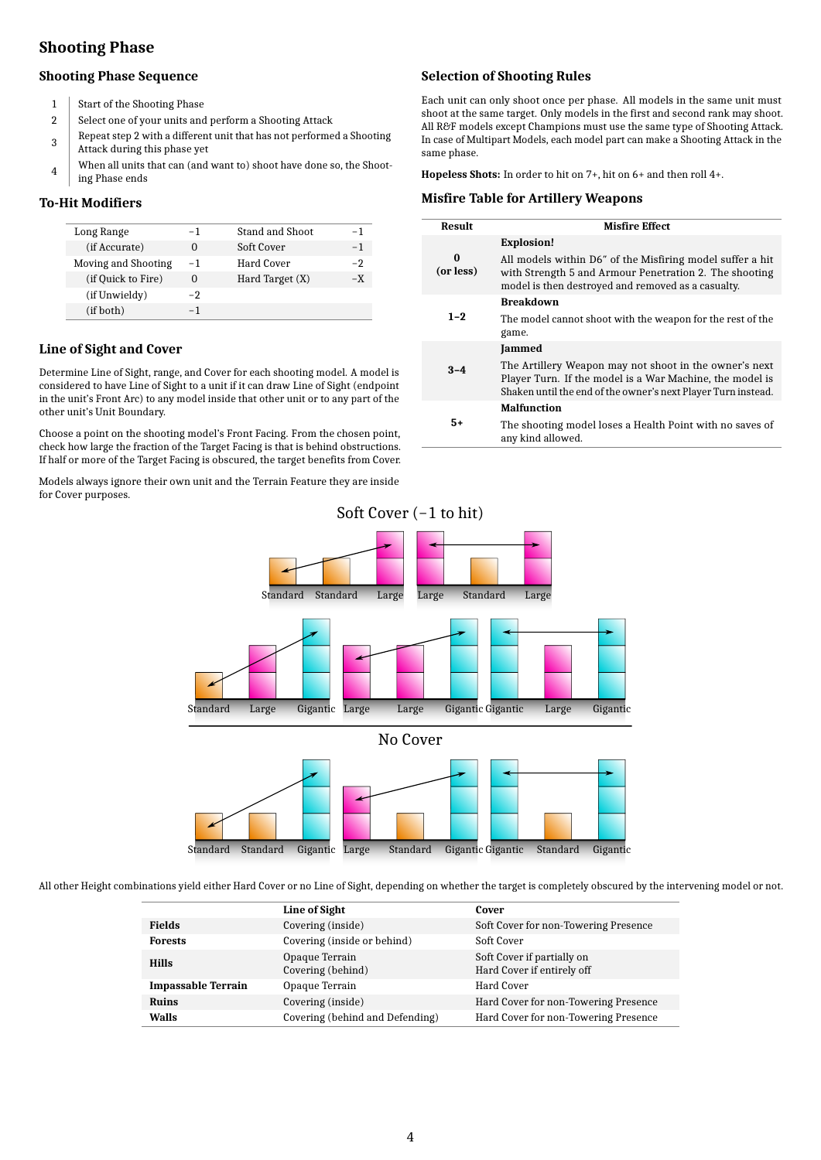# **Shooting Phase**

#### **Shooting Phase Sequence**

- 1 Start of the Shooting Phase
- 2 Select one of your units and perform a Shooting Attack
- 3 Repeat step 2 with a different unit that has not performed a Shooting Attack during this phase yet
- 4 When all units that can (and want to) shoot have done so, the Shooting Phase ends

#### **To-Hit Modifiers**

| Long Range          | -1 | Stand and Shoot | - 1 |
|---------------------|----|-----------------|-----|
| (if Accurate)       |    | Soft Cover      | -1  |
| Moving and Shooting | -1 | Hard Cover      | -2  |
| (if Quick to Fire)  |    | Hard Target (X) | -X  |
| (if Unwieldy)       | -2 |                 |     |
| (if both)           |    |                 |     |

#### **Line of Sight and Cover**

Determine Line of Sight, range, and Cover for each shooting model. A model is considered to have Line of Sight to a unit if it can draw Line of Sight (endpoint in the unit's Front Arc) to any model inside that other unit or to any part of the other unit's Unit Boundary.

Choose a point on the shooting model's Front Facing. From the chosen point, check how large the fraction of the Target Facing is that is behind obstructions. If half or more of the Target Facing is obscured, the target benefits from Cover.

Models always ignore their own unit and the Terrain Feature they are inside for Cover purposes.

#### **Selection of Shooting Rules**

Each unit can only shoot once per phase. All models in the same unit must shoot at the same target. Only models in the first and second rank may shoot. All R&F models except Champions must use the same type of Shooting Attack. In case of Multipart Models, each model part can make a Shooting Attack in the same phase.

**Hopeless Shots:** In order to hit on 7+, hit on 6+ and then roll 4+.

#### **Misfire Table for Artillery Weapons**

| Result                | <b>Misfire Effect</b>                                                                                                                                                               |
|-----------------------|-------------------------------------------------------------------------------------------------------------------------------------------------------------------------------------|
|                       | <b>Explosion!</b>                                                                                                                                                                   |
| $\Omega$<br>(or less) | All models within D6" of the Misfiring model suffer a hit<br>with Strength 5 and Armour Penetration 2. The shooting<br>model is then destroyed and removed as a casualty.           |
|                       | <b>Breakdown</b>                                                                                                                                                                    |
| $1 - 2$               | The model cannot shoot with the weapon for the rest of the<br>game.                                                                                                                 |
|                       | Jammed                                                                                                                                                                              |
| $3 - 4$               | The Artillery Weapon may not shoot in the owner's next<br>Player Turn. If the model is a War Machine, the model is<br>Shaken until the end of the owner's next Player Turn instead. |
|                       | <b>Malfunction</b>                                                                                                                                                                  |
| 5+                    | The shooting model loses a Health Point with no saves of<br>any kind allowed.                                                                                                       |

Standard Gigantic



All other Height combinations yield either Hard Cover or no Line of Sight, depending on whether the target is completely obscured by the intervening model or not.

Large

|                           | Line of Sight                       | Cover                                                    |
|---------------------------|-------------------------------------|----------------------------------------------------------|
| <b>Fields</b>             | Covering (inside)                   | Soft Cover for non-Towering Presence                     |
| <b>Forests</b>            | Covering (inside or behind)         | Soft Cover                                               |
| <b>Hills</b>              | Opaque Terrain<br>Covering (behind) | Soft Cover if partially on<br>Hard Cover if entirely off |
| <b>Impassable Terrain</b> | Opaque Terrain                      | Hard Cover                                               |
| <b>Ruins</b>              | Covering (inside)                   | Hard Cover for non-Towering Presence                     |
| Walls                     | Covering (behind and Defending)     | Hard Cover for non-Towering Presence                     |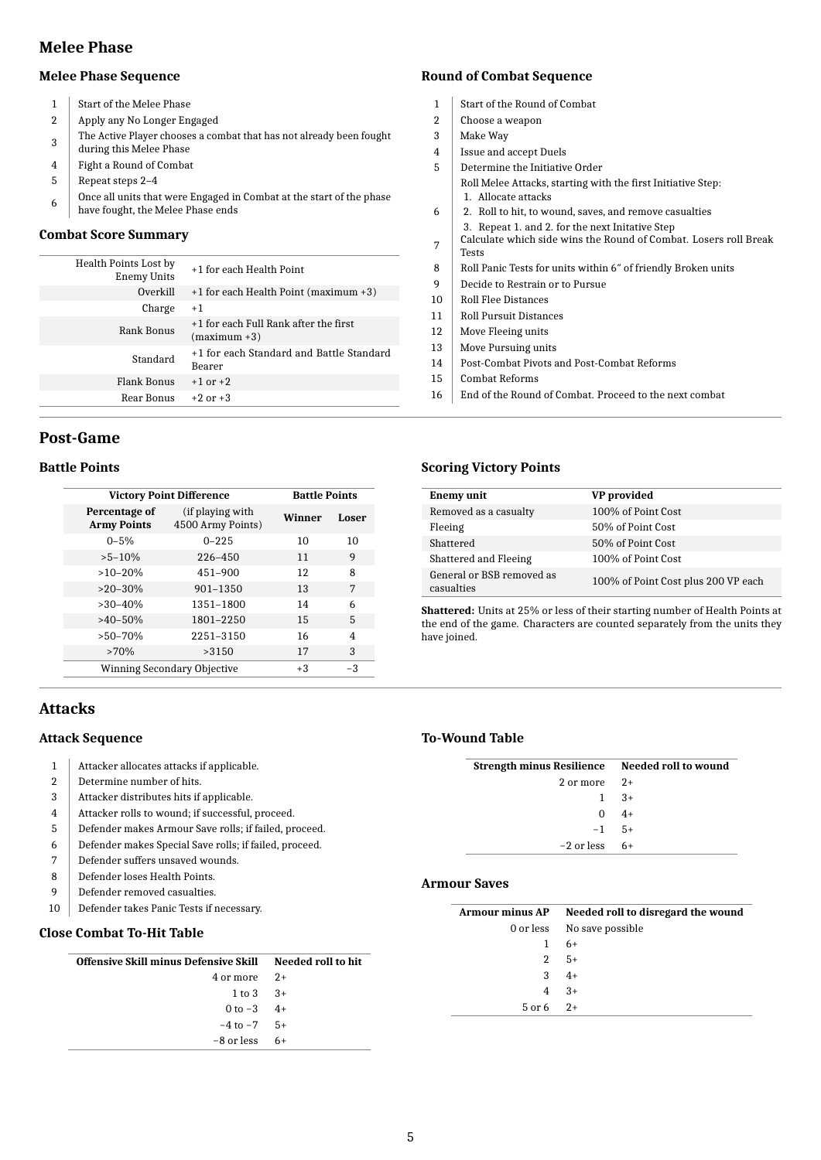### **Melee Phase**

#### **Melee Phase Sequence**

- 1 Start of the Melee Phase
- 2 Apply any No Longer Engaged
- 3 The Active Player chooses a combat that has not already been fought
- during this Melee Phase
- 4 Fight a Round of Combat
- 5 Repeat steps 2–4
- 6 Once all units that were Engaged in Combat at the start of the phase have fought, the Melee Phase ends

#### **Combat Score Summary**

| Health Points Lost by<br>Enemy Units | +1 for each Health Point                                |
|--------------------------------------|---------------------------------------------------------|
| Overkill                             | +1 for each Health Point (maximum +3)                   |
| Charge                               | $+1$                                                    |
| Rank Bonus                           | +1 for each Full Rank after the first<br>$(maximum +3)$ |
| Standard                             | +1 for each Standard and Battle Standard<br>Bearer      |
| <b>Flank Bonus</b>                   | $+1$ or $+2$                                            |
| Rear Bonus                           | $+2$ or $+3$                                            |

### **Post-Game**

### **Battle Points**

| <b>Victory Point Difference</b>     | <b>Battle Points</b>                  |        |       |
|-------------------------------------|---------------------------------------|--------|-------|
| Percentage of<br><b>Army Points</b> | (if playing with<br>4500 Army Points) | Winner | Loser |
| $0 - 5\%$                           | $0 - 225$                             | 10     | 10    |
| $>5-10%$                            | 226-450                               | 11     | 9     |
| $>10-20%$                           | $451 - 900$                           | 12     | 8     |
| $>20-30%$                           | $901 - 1350$                          | 13     | 7     |
| $>30-40%$                           | 1351-1800                             | 14     | 6     |
| $>40-50%$                           | 1801-2250                             | 15     | 5     |
| $>50-70%$                           | 2251-3150                             | 16     | 4     |
| $>70\%$                             | >3150                                 | 17     | 3     |
|                                     | Winning Secondary Objective           | $+3$   | $-3$  |

# **Attacks**

### **Attack Sequence**

- 1 Attacker allocates attacks if applicable.
- 2 Determine number of hits.
- 3 Attacker distributes hits if applicable.
- 4 Attacker rolls to wound; if successful, proceed.
- 5 Defender makes Armour Save rolls; if failed, proceed.
- 6 Defender makes Special Save rolls; if failed, proceed.
- 7 Defender suffers unsaved wounds.
- 8 Defender loses Health Points.
- 9 Defender removed casualties.
- 10 Defender takes Panic Tests if necessary.

### **Close Combat To-Hit Table**

| Offensive Skill minus Defensive Skill Needed roll to hit |  |
|----------------------------------------------------------|--|
| $4 \text{ or more } 2+$                                  |  |
| $1 to 3 + 3 +$                                           |  |
| 0 to $-3$ 4+                                             |  |
| $-4$ to $-7$ 5+                                          |  |
| $-8$ or less $-6+$                                       |  |

# **Round of Combat Sequence**

- 1 Start of the Round of Combat
- 2 Choose a weapon
- 3 Make Way
- 4 | Issue and accept Duels
- 5 Determine the Initiative Order Roll Melee Attacks, starting with the first Initiative Step: 1. Allocate attacks
- 6 2. Roll to hit, to wound, saves, and remove casualties 3. Repeat 1. and 2. for the next Initative Step
- 7 Calculate which side wins the Round of Combat. Losers roll Break Tests
- 8 Roll Panic Tests for units within 6" of friendly Broken units
- 9 Decide to Restrain or to Pursue
- 10 Roll Flee Distances
- 11 Roll Pursuit Distances
- 12 | Move Fleeing units
- 13 | Move Pursuing units
- 14 | Post-Combat Pivots and Post-Combat Reforms
- 15 Combat Reforms
- 16 End of the Round of Combat. Proceed to the next combat

### **Scoring Victory Points**

| <b>Enemy unit</b>                       | VP provided                         |
|-----------------------------------------|-------------------------------------|
| Removed as a casualty                   | 100% of Point Cost                  |
| Fleeing                                 | 50% of Point Cost                   |
| Shattered                               | 50% of Point Cost                   |
| Shattered and Fleeing                   | 100% of Point Cost                  |
| General or BSB removed as<br>casualties | 100% of Point Cost plus 200 VP each |

**Shattered:** Units at 25% or less of their starting number of Health Points at the end of the game. Characters are counted separately from the units they have joined.

### **To-Wound Table**

| Strength minus Resilience Needed roll to wound |          |
|------------------------------------------------|----------|
| $2 \text{ or more } 2+$                        |          |
|                                                | $1 \t3+$ |
| 0                                              | $4+$     |
| $-1$ 5+                                        |          |
| -2 or less                                     | $6+$     |

#### **Armour Saves**

|             | Armour minus AP Needed roll to disregard the wound |
|-------------|----------------------------------------------------|
|             | 0 or less No save possible                         |
|             | $1 \t 6+$                                          |
|             | $2 \quad 5+$                                       |
|             | $3 + 4 +$                                          |
|             | $4 \t3+$                                           |
| $5$ or 6 2+ |                                                    |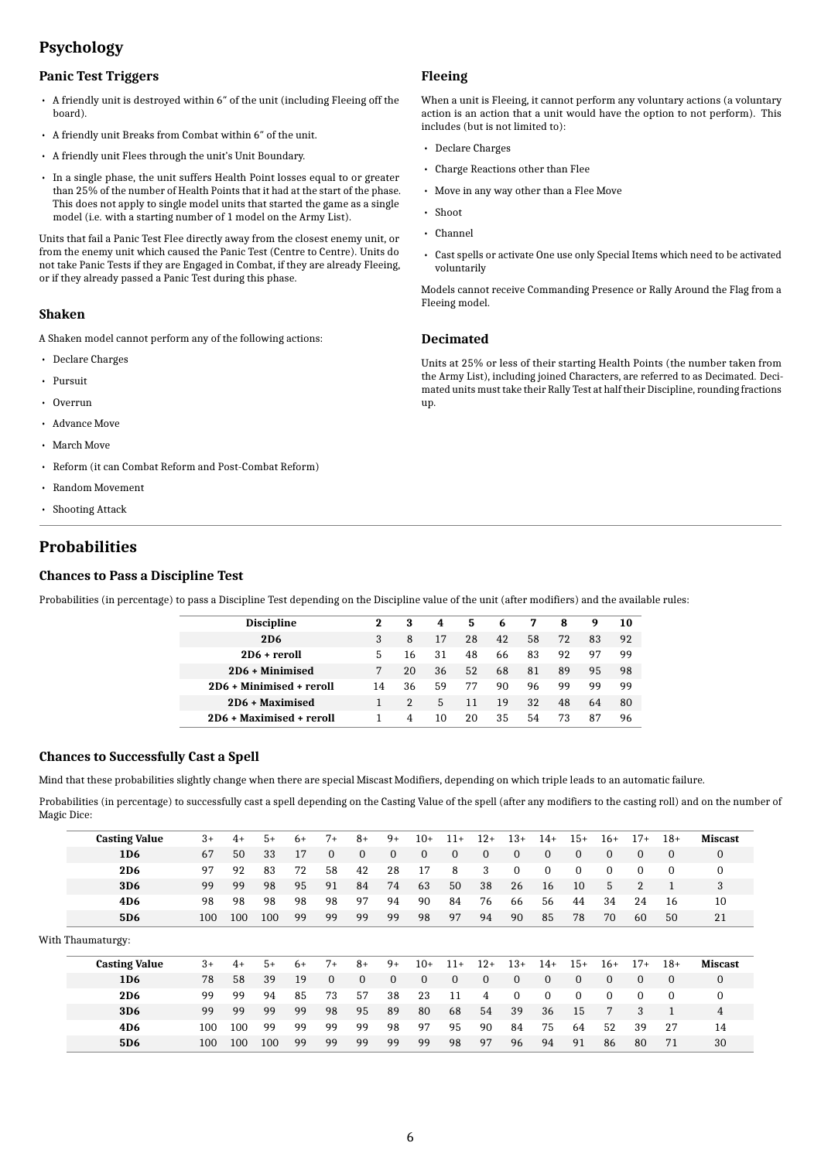# **Psychology**

### **Panic Test Triggers**

- A friendly unit is destroyed within 6″ of the unit (including Fleeing off the board).
- A friendly unit Breaks from Combat within 6″ of the unit.
- A friendly unit Flees through the unit's Unit Boundary.
- In a single phase, the unit suffers Health Point losses equal to or greater than 25% of the number of Health Points that it had at the start of the phase. This does not apply to single model units that started the game as a single model (i.e. with a starting number of 1 model on the Army List).

Units that fail a Panic Test Flee directly away from the closest enemy unit, or from the enemy unit which caused the Panic Test (Centre to Centre). Units do not take Panic Tests if they are Engaged in Combat, if they are already Fleeing, or if they already passed a Panic Test during this phase.

#### **Shaken**

A Shaken model cannot perform any of the following actions:

- Declare Charges
- Pursuit
- Overrun
- Advance Move
- March Move
- Reform (it can Combat Reform and Post-Combat Reform)
- Random Movement
- Shooting Attack

# **Probabilities**

#### **Chances to Pass a Discipline Test**

Probabilities (in percentage) to pass a Discipline Test depending on the Discipline value of the unit (after modifiers) and the available rules:

| <b>Discipline</b>        | 2  | 3  | 4  | 5   | 6  | 7  | 8  | 9  | 10 |
|--------------------------|----|----|----|-----|----|----|----|----|----|
| <b>2D6</b>               | 3  | 8  | 17 | 28  | 42 | 58 | 72 | 83 | 92 |
| $2D6 + rerol1$           | 5  | 16 | 31 | 48  | 66 | 83 | 92 | 97 | 99 |
| 2D6 + Minimised          |    | 20 | 36 | 52  | 68 | 81 | 89 | 95 | 98 |
| 2D6 + Minimised + reroll | 14 | 36 | 59 | 77  | 90 | 96 | 99 | 99 | 99 |
| 2D6 + Maximised          |    |    | 5  | 11  | 19 | 32 | 48 | 64 | 80 |
| 2D6 + Maximised + reroll |    | 4  | 10 | 20. | 35 | 54 | 73 | 87 | 96 |
|                          |    |    |    |     |    |    |    |    |    |

#### **Chances to Successfully Cast a Spell**

Mind that these probabilities slightly change when there are special Miscast Modifiers, depending on which triple leads to an automatic failure.

Probabilities (in percentage) to successfully cast a spell depending on the Casting Value of the spell (after any modifiers to the casting roll) and on the number of Magic Dice:

| <b>Casting Value</b> | $3+$ | $4+$ | $5+$ | 6+   | $7+$         | $8+$         | $9+$         | $10+$        | $11+$        | $12+$        | $13+$          | $14+$    | $15+$        | $16+$        | $17+$          | $18+$          | <b>Miscast</b> |
|----------------------|------|------|------|------|--------------|--------------|--------------|--------------|--------------|--------------|----------------|----------|--------------|--------------|----------------|----------------|----------------|
| 1D <sub>6</sub>      | 67   | 50   | 33   | 17   | $\mathbf{0}$ | $\mathbf{0}$ | $\mathbf{0}$ | $\mathbf{0}$ | $\mathbf{0}$ | $\mathbf{0}$ | $\overline{0}$ | 0        | $\mathbf{0}$ | $\mathbf{0}$ | $\Omega$       | $\overline{0}$ | $\mathbf{0}$   |
| <b>2D6</b>           | 97   | 92   | 83   | 72   | 58           | 42           | 28           | 17           | 8            | 3            | $\Omega$       | $\Omega$ | $\Omega$     | $\Omega$     | $\Omega$       | $\Omega$       | $\Omega$       |
| 3D <sub>6</sub>      | 99   | 99   | 98   | 95   | 91           | 84           | 74           | 63           | 50           | 38           | 26             | 16       | 10           | 5            | $\overline{2}$ |                | 3              |
| 4D <sub>6</sub>      | 98   | 98   | 98   | 98   | 98           | 97           | 94           | 90           | 84           | 76           | 66             | 56       | 44           | 34           | 24             | 16             | 10             |
| 5D <sub>6</sub>      | 100  | 100  | 100  | 99   | 99           | 99           | 99           | 98           | 97           | 94           | 90             | 85       | 78           | 70           | 60             | 50             | 21             |
| With Thaumaturgy:    |      |      |      |      |              |              |              |              |              |              |                |          |              |              |                |                |                |
| <b>Casting Value</b> | $3+$ | $4+$ | $5+$ | $6+$ | $7+$         | $8+$         | $9+$         | $10+$        | $11+$        | $12+$        | $13+$          | $14+$    | $15+$        | $16+$        | $17+$          | $18+$          | <b>Miscast</b> |
| 1D <sub>6</sub>      | 78   | 58   | 39   | 19   | $\Omega$     | $\Omega$     | $\Omega$     | $\Omega$     | $\Omega$     | $\Omega$     | $\Omega$       | $\Omega$ | $\Omega$     | $\Omega$     | $\Omega$       | $\Omega$       | $\Omega$       |
| <b>2D6</b>           | 99   | 99   | 94   | 85   | 73           | 57           | 38           | 23           | 11           | 4            | $\Omega$       | $\Omega$ | $\Omega$     | $\Omega$     | $\Omega$       | $\Omega$       | $\Omega$       |
| 3D <sub>6</sub>      | 99   | 99   | 99   | 99   | 98           | 95           | 89           | 80           | 68           | 54           | 39             | 36       | 15           | 7            | 3              |                | 4              |
| 4D <sub>6</sub>      | 100  | 100  | 99   | 99   | 99           | 99           | 98           | 97           | 95           | 90           | 84             | 75       | 64           | 52           | 39             | 27             | 14             |
| 5D <sub>6</sub>      | 100  | 100  | 100  | 99   | 99           | 99           | 99           | 99           | 98           | 97           | 96             | 94       | 91           | 86           | 80             | 71             | 30             |

#### **Fleeing**

When a unit is Fleeing, it cannot perform any voluntary actions (a voluntary action is an action that a unit would have the option to not perform). This includes (but is not limited to):

- Declare Charges
- Charge Reactions other than Flee
- Move in any way other than a Flee Move
- Shoot
- Channel
- Cast spells or activate One use only Special Items which need to be activated voluntarily

Models cannot receive Commanding Presence or Rally Around the Flag from a Fleeing model.

#### **Decimated**

Units at 25% or less of their starting Health Points (the number taken from the Army List), including joined Characters, are referred to as Decimated. Decimated units must take their Rally Test at half their Discipline, rounding fractions up.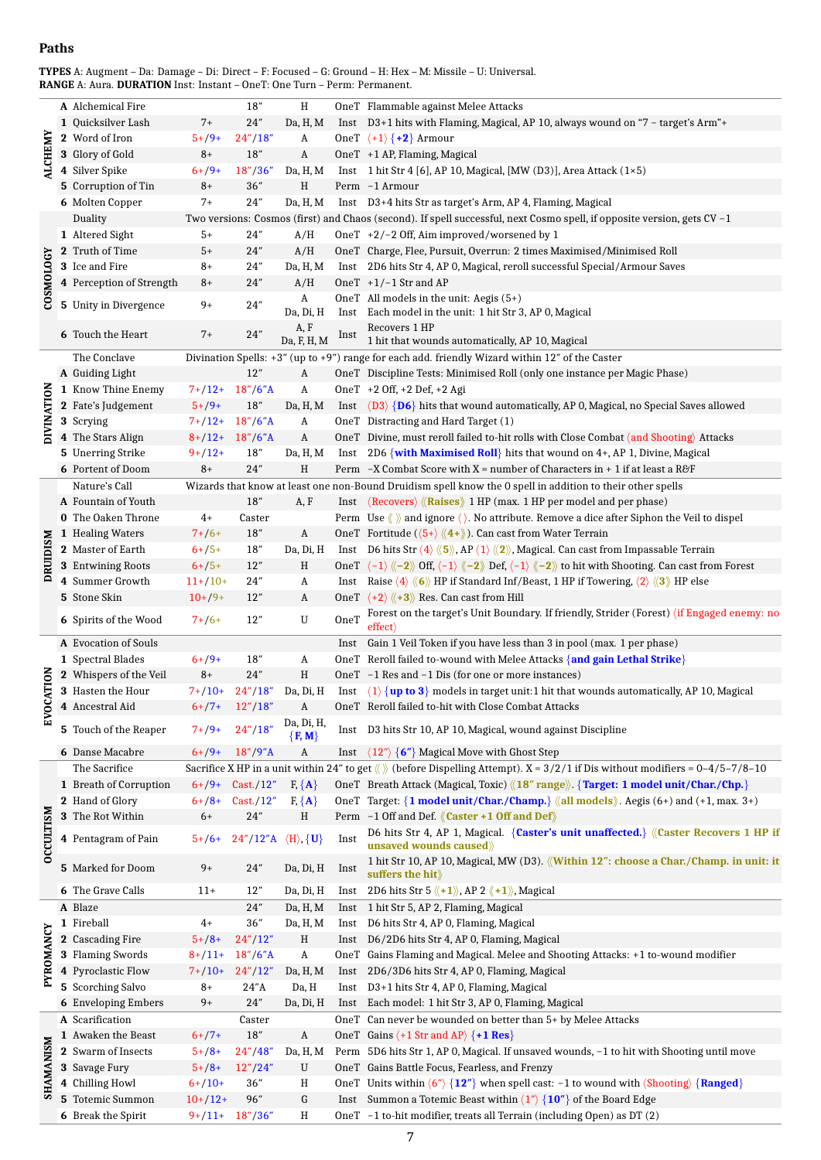### **Paths**

**TYPES** A: Augment – Da: Damage – Di: Direct – F: Focused – G: Ground – H: Hex – M: Missile – U: Universal. **RANGE** A: Aura. **DURATION** Inst: Instant – OneT: One Turn – Perm: Permanent.

|                  | A Alchemical Fire          |            | $18''$                    | Η                             |      | OneT Flammable against Melee Attacks                                                                                                                                              |
|------------------|----------------------------|------------|---------------------------|-------------------------------|------|-----------------------------------------------------------------------------------------------------------------------------------------------------------------------------------|
| <b>ALCHEMY</b>   | 1 Quicksilver Lash         | $7+$       | 24"                       | Da, H, M                      |      | Inst D3+1 hits with Flaming, Magical, AP 10, always wound on "7 - target's Arm"+                                                                                                  |
|                  | 2 Word of Iron             | $5+/9+$    | 24''/18''                 | A                             |      | OneT $\langle +1 \rangle$ {+2} Armour                                                                                                                                             |
|                  | 3 Glory of Gold            | $8+$       | 18"                       | A                             |      | OneT +1 AP, Flaming, Magical                                                                                                                                                      |
|                  |                            |            |                           |                               |      |                                                                                                                                                                                   |
|                  | 4 Silver Spike             | $6+ /9+$   | 18''/36''                 | Da, H, M                      |      | Inst 1 hit Str 4 [6], AP 10, Magical, [MW (D3)], Area Attack $(1\times5)$                                                                                                         |
|                  | 5 Corruption of Tin        | $8+$       | 36''                      | $\, {\rm H}$                  |      | Perm -1 Armour                                                                                                                                                                    |
|                  | 6 Molten Copper            | $7+$       | 24"                       | Da, H, M                      |      | Inst D3+4 hits Str as target's Arm, AP 4, Flaming, Magical                                                                                                                        |
|                  | Duality                    |            |                           |                               |      | Two versions: Cosmos (first) and Chaos (second). If spell successful, next Cosmo spell, if opposite version, gets $CV - 1$                                                        |
|                  | 1 Altered Sight            | 5+         | 24"                       | A/H                           |      | OneT +2/-2 Off, Aim improved/worsened by 1                                                                                                                                        |
|                  | 2 Truth of Time            | $5+$       | 24"                       | A/H                           |      | OneT Charge, Flee, Pursuit, Overrun: 2 times Maximised/Minimised Roll                                                                                                             |
|                  |                            |            |                           |                               |      |                                                                                                                                                                                   |
|                  | 3 Ice and Fire             | $8+$       | 24"                       | Da, H, M                      |      | Inst 2D6 hits Str 4, AP 0, Magical, reroll successful Special/Armour Saves                                                                                                        |
| COSMOLOGY        | 4 Perception of Strength   | $8+$       | 24"                       | A/H                           |      | OneT $+1/-1$ Str and AP                                                                                                                                                           |
|                  | 5 Unity in Divergence      | $9+$       | $24^{\prime\prime}$       | A                             |      | OneT All models in the unit: Aegis $(5+)$                                                                                                                                         |
|                  |                            |            |                           | Da, Di, H                     |      | Inst Each model in the unit: 1 hit Str 3, AP 0, Magical                                                                                                                           |
|                  | <b>6</b> Touch the Heart   | $7+$       | 24"                       | A, F                          |      | Recovers 1 HP                                                                                                                                                                     |
|                  |                            |            |                           | Da, F, H, M                   | Inst | 1 hit that wounds automatically, AP 10, Magical                                                                                                                                   |
|                  | The Conclave               |            |                           |                               |      | Divination Spells: $+3$ " (up to $+9$ ") range for each add. friendly Wizard within 12" of the Caster                                                                             |
|                  | A Guiding Light            |            | 12"                       | A                             |      | OneT Discipline Tests: Minimised Roll (only one instance per Magic Phase)                                                                                                         |
|                  | 1 Know Thine Enemy         | $7+12+$    | $18''/6''$ A              | A                             |      | OneT +2 Off, +2 Def, +2 Agi                                                                                                                                                       |
| DIVINATION       |                            |            |                           |                               |      |                                                                                                                                                                                   |
|                  | 2 Fate's Judgement         | $5+/9+$    | 18''                      | Da, H, M                      |      | Inst $\langle D3 \rangle$ {D6} hits that wound automatically, AP 0, Magical, no Special Saves allowed                                                                             |
|                  | 3 Scrying                  |            | $7+/12+ 18''/6''$ A       | A                             |      | OneT Distracting and Hard Target (1)                                                                                                                                              |
|                  | 4 The Stars Align          |            | $8+/12+ 18''/6''$ A       | A                             |      | OneT Divine, must reroll failed to-hit rolls with Close Combat $\langle$ and Shooting $\rangle$ Attacks                                                                           |
|                  | 5 Unerring Strike          | $9+/12+$   | 18''                      | Da, H, M                      |      | Inst 2D6 {with Maximised Roll} hits that wound on $4+$ , AP 1, Divine, Magical                                                                                                    |
|                  | <b>6</b> Portent of Doom   | 8+         | 24"                       | H                             |      | Perm $-X$ Combat Score with X = number of Characters in + 1 if at least a R&F                                                                                                     |
|                  | Nature's Call              |            |                           |                               |      | Wizards that know at least one non-Bound Druidism spell know the 0 spell in addition to their other spells                                                                        |
|                  |                            |            |                           |                               |      |                                                                                                                                                                                   |
|                  | A Fountain of Youth        |            | 18"                       | A, F                          |      | Inst $\langle$ Recovers $\rangle$ $\langle$ Raises $\rangle$ 1 HP (max. 1 HP per model and per phase)                                                                             |
|                  | 0 The Oaken Throne         | $4+$       | Caster                    |                               |      | Perm Use $\langle \rangle$ and ignore $\langle \rangle$ . No attribute. Remove a dice after Siphon the Veil to dispel                                                             |
|                  | 1 Healing Waters           | $7+ / 6+$  | 18"                       | $\boldsymbol{A}$              |      | OneT Fortitude ( $\langle 5+\rangle \langle 4+\rangle$ ). Can cast from Water Terrain                                                                                             |
| <b>DRUIDISM</b>  | 2 Master of Earth          | $6+ /5+$   | 18″                       | Da, Di, H                     |      | Inst D6 hits Str $\langle 4 \rangle \langle 5 \rangle$ , AP $\langle 1 \rangle \langle 2 \rangle$ , Magical. Can cast from Impassable Terrain                                     |
|                  | 3 Entwining Roots          | $6+ /5+$   | 12"                       | H                             |      | OneT $\langle -1 \rangle \langle -2 \rangle$ Off, $\langle -1 \rangle \langle -2 \rangle$ Def, $\langle -1 \rangle \langle -2 \rangle$ to hit with Shooting. Can cast from Forest |
|                  | 4 Summer Growth            | $11+/10+$  | 24"                       | A                             |      | Inst Raise $\langle 4 \rangle \langle 6 \rangle$ HP if Standard Inf/Beast, 1 HP if Towering, $\langle 2 \rangle \langle 3 \rangle$ HP else                                        |
|                  | 5 Stone Skin               | $10+/9+$   | 12"                       | A                             |      | OneT $\langle +2 \rangle \langle +3 \rangle$ Res. Can cast from Hill                                                                                                              |
|                  |                            |            |                           |                               |      |                                                                                                                                                                                   |
|                  | 6 Spirits of the Wood      | $7+ / 6+$  | 12"                       | ${\bf U}$                     | OneT | Forest on the target's Unit Boundary. If friendly, Strider (Forest) (if Engaged enemy: no                                                                                         |
|                  |                            |            |                           |                               |      |                                                                                                                                                                                   |
|                  |                            |            |                           |                               |      | $\text{effect}$                                                                                                                                                                   |
|                  | A Evocation of Souls       |            |                           |                               |      | Inst Gain 1 Veil Token if you have less than 3 in pool (max. 1 per phase)                                                                                                         |
|                  | 1 Spectral Blades          | $6+ /9+$   | 18″                       | A                             |      | OneT Reroll failed to-wound with Melee Attacks {and gain Lethal Strike}                                                                                                           |
|                  | 2 Whispers of the Veil     | $8+$       | 24"                       | Η                             |      | OneT -1 Res and -1 Dis (for one or more instances)                                                                                                                                |
|                  | 3 Hasten the Hour          | $7+10+$    | 24''/18''                 | Da, Di, H                     |      | Inst $\langle 1 \rangle$ {up to 3} models in target unit:1 hit that wounds automatically, AP 10, Magical                                                                          |
| OCATION          | 4 Ancestral Aid            | $6+ / 7+$  | 12''/18''                 | A                             |      | OneT Reroll failed to-hit with Close Combat Attacks                                                                                                                               |
| Ě                |                            |            |                           |                               |      |                                                                                                                                                                                   |
|                  | 5 Touch of the Reaper      | $7+ /9+$   | 24''/18''                 | Da, Di, H,<br>$\{F, M\}$      |      | Inst D3 hits Str 10, AP 10, Magical, wound against Discipline                                                                                                                     |
|                  | <b>6</b> Danse Macabre     | $6+ /9+$   | $18''/9''$ A              | A                             | Inst | $\langle 12^n \rangle$ {6"} Magical Move with Ghost Step                                                                                                                          |
|                  |                            |            |                           |                               |      |                                                                                                                                                                                   |
|                  | The Sacrifice              |            |                           |                               |      | Sacrifice X HP in a unit within 24" to get $\langle \rangle$ (before Dispelling Attempt). X = 3/2/1 if Dis without modifiers = 0-4/5-7/8-10                                       |
|                  | 1 Breath of Corruption     | $6+ / 9+$  | Cast./12"                 | $F, \{A\}$                    |      | OneT Breath Attack (Magical, Toxic) $\langle 18^n \text{ range} \rangle$ . {Target: 1 model unit/Char./Chp.}                                                                      |
|                  | 2 Hand of Glory            | $6+ / 8 +$ | Cast./12"                 | $F, \{A\}$                    |      | OneT Target: $\{1 \text{ model unit/Char./Champ.}\}$ «all models». Aegis (6+) and (+1, max. 3+)                                                                                   |
|                  | 3 The Rot Within           | $6+$       | 24"                       | H                             |      | Perm -1 Off and Def. <i>(Caster +1 Off and Def)</i>                                                                                                                               |
|                  |                            |            |                           |                               |      | D6 hits Str 4, AP 1, Magical. {Caster's unit unaffected.} \'Caster Recovers 1 HP if                                                                                               |
|                  | 4 Pentagram of Pain        | $5+/6+$    | $24''/12''$ A             | $\langle H \rangle$ , $\{U\}$ | Inst | unsaved wounds caused $\rangle\!\rangle$                                                                                                                                          |
| <b>OCCULTISM</b> |                            |            |                           |                               |      | 1 hit Str 10, AP 10, Magical, MW (D3). <i>(Within 12"</i> : choose a Char./Champ. in unit: it                                                                                     |
|                  | 5 Marked for Doom          | $9+$       | 24"                       | Da, Di, H                     | Inst | suffers the hit $\rangle\!\rangle$                                                                                                                                                |
|                  | <b>6</b> The Grave Calls   | $11+$      | 12"                       | Da, Di, H                     | Inst |                                                                                                                                                                                   |
|                  |                            |            |                           |                               |      | 2D6 hits Str 5 $\langle \langle +1 \rangle \rangle$ , AP 2 $\langle \langle +1 \rangle \rangle$ , Magical                                                                         |
|                  | A Blaze                    |            | 24"                       | Da, H, M                      |      | Inst 1 hit Str 5, AP 2, Flaming, Magical                                                                                                                                          |
|                  | 1 Fireball                 | $4+$       | $36^{\prime\prime}$       | Da, H, M                      |      | Inst D6 hits Str 4, AP 0, Flaming, Magical                                                                                                                                        |
|                  | 2 Cascading Fire           | $5+/8+$    | 24''/12''                 | $\, {\rm H}$                  |      | Inst D6/2D6 hits Str 4, AP 0, Flaming, Magical                                                                                                                                    |
|                  | 3 Flaming Swords           | $8+/11+$   | $18''/6''$ A              | $\, {\bf A}$                  |      | OneT Gains Flaming and Magical. Melee and Shooting Attacks: +1 to-wound modifier                                                                                                  |
|                  | 4 Pyroclastic Flow         | $7+10+$    | 24''/12''                 | Da, H, M                      |      | Inst 2D6/3D6 hits Str 4, AP 0, Flaming, Magical                                                                                                                                   |
| PYROMANCY        | 5 Scorching Salvo          | $8+$       | 24'' <sub>A</sub>         | Da, H                         |      | Inst D3+1 hits Str 4, AP 0, Flaming, Magical                                                                                                                                      |
|                  | <b>6</b> Enveloping Embers | $9+$       | $24^{\prime\prime}$       | Da, Di, H                     |      | Inst Each model: 1 hit Str 3, AP 0, Flaming, Magical                                                                                                                              |
|                  | A Scarification            |            | Caster                    |                               |      |                                                                                                                                                                                   |
|                  |                            |            |                           |                               |      | OneT Can never be wounded on better than 5+ by Melee Attacks                                                                                                                      |
|                  | 1 Awaken the Beast         | $6+/7+$    | $18^{\prime\prime}$       | A                             |      | OneT Gains $\langle +1 \text{ Str} \text{ and } AP \rangle \{+1 \text{ Res}\}\$                                                                                                   |
|                  | 2 Swarm of Insects         | $5+/8+$    | 24''/48''                 | Da, H, M                      |      | Perm 5D6 hits Str 1, AP 0, Magical. If unsaved wounds, -1 to hit with Shooting until move                                                                                         |
|                  | 3 Savage Fury              | $5+/8+$    | 12''/24''                 | U                             |      | OneT Gains Battle Focus, Fearless, and Frenzy                                                                                                                                     |
|                  | 4 Chilling Howl            | $6+/10+$   | 36"                       | Η                             |      | OneT Units within $\langle 6^n \rangle$ {12"} when spell cast: -1 to wound with $\langle$ Shooting $\rangle$ {Ranged}                                                             |
| SHAMANISM        | 5 Totemic Summon           | $10+/12+$  | 96"<br>$9+/11+ 18''/36''$ | G                             |      | Inst Summon a Totemic Beast within $\langle 1'' \rangle$ $\{10''\}$ of the Board Edge<br>OneT -1 to-hit modifier, treats all Terrain (including Open) as DT (2)                   |